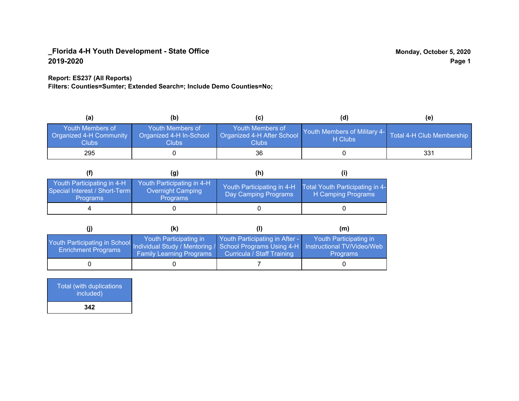## **Report: ES237 (All Reports)**

**Filters: Counties=Sumter; Extended Search=; Include Demo Counties=No;**

| (a)                                                         | (b)                                                   | (C)                                                       | (d)                                                               | (e) |
|-------------------------------------------------------------|-------------------------------------------------------|-----------------------------------------------------------|-------------------------------------------------------------------|-----|
| <b>Youth Members of</b><br>Organized 4-H Community<br>Clubs | Youth Members of<br>Organized 4-H In-School<br>Clubs: | Youth Members of<br>Organized 4-H After School<br>Clubs : | Youth Members of Military 4- Total 4-H Club Membership<br>H Clubs |     |
| 295                                                         |                                                       | 36                                                        |                                                                   | 331 |

|                                                                                | (g)                                                                       | (h)                                                |                                                       |
|--------------------------------------------------------------------------------|---------------------------------------------------------------------------|----------------------------------------------------|-------------------------------------------------------|
| Youth Participating in 4-H<br>Special Interest / Short-Term<br><b>Programs</b> | Youth Participating in 4-H<br><b>Overnight Camping</b><br><b>Programs</b> | Youth Participating in 4-H<br>Day Camping Programs | Total Youth Participating in 4-<br>H Camping Programs |
|                                                                                |                                                                           |                                                    |                                                       |

|                                                                                                                                                 | (k)                                                       |                                                                     | (m)                                       |
|-------------------------------------------------------------------------------------------------------------------------------------------------|-----------------------------------------------------------|---------------------------------------------------------------------|-------------------------------------------|
| Youth Participating in School Individual Study / Mentoring / School Programs Using 4-H Instructional TV/Video/Web<br><b>Enrichment Programs</b> | Youth Participating in<br><b>Family Learning Programs</b> | Youth Participating in After -<br><b>Curricula / Staff Training</b> | Youth Participating in<br><b>Programs</b> |
|                                                                                                                                                 |                                                           |                                                                     |                                           |

| <b>Total (with duplications)</b><br>included) |  |
|-----------------------------------------------|--|
| 342                                           |  |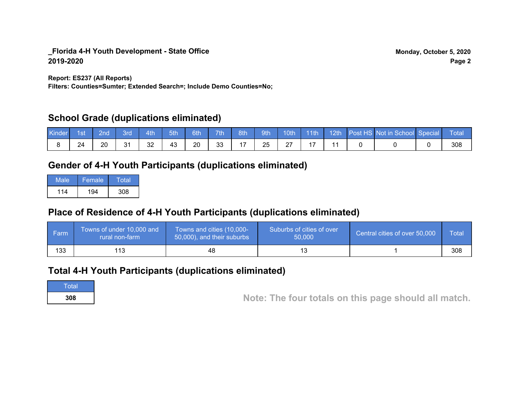**Report: ES237 (All Reports)**

**Filters: Counties=Sumter; Extended Search=; Include Demo Counties=No;**

## **School Grade (duplications eliminated)**

| Kinder | 1st | ?nd | <i><b>Bro</b></i> | 4th | 5th | 6th | 7th | 8th            | 9th | 10th               | 11th | 12th | Post HS Not in School Special | Total |
|--------|-----|-----|-------------------|-----|-----|-----|-----|----------------|-----|--------------------|------|------|-------------------------------|-------|
|        | 24  | 20  | 21<br>ັບ          | 32  | 43  | 20  | 33  | $\overline{ }$ | 25  | $\sim$<br><u>.</u> |      |      |                               | 308   |

# **Gender of 4-H Youth Participants (duplications eliminated)**

| Male | Female. | Total |
|------|---------|-------|
| 114  | 194     | 308   |

# **Place of Residence of 4-H Youth Participants (duplications eliminated)**

| <b>Farm</b> | Towns of under 10,000 and<br>rural non-farm | Towns and cities (10,000-<br>50,000), and their suburbs | Suburbs of cities of over<br>50,000 | Central cities of over 50,000 | Total |
|-------------|---------------------------------------------|---------------------------------------------------------|-------------------------------------|-------------------------------|-------|
| 133         | 113                                         | 48                                                      |                                     |                               | 308   |

## **Total 4-H Youth Participants (duplications eliminated)**

**Total** 

**<sup>308</sup> Note: The four totals on this page should all match.**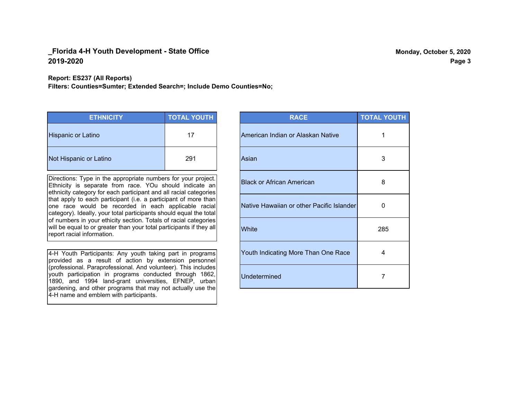#### **Report: ES237 (All Reports)**

**Filters: Counties=Sumter; Extended Search=; Include Demo Counties=No;**

| <b>ETHNICITY</b>          | <b>TOTAL YOUTH</b> |
|---------------------------|--------------------|
| <b>Hispanic or Latino</b> | 17                 |
| Not Hispanic or Latino    | 291                |

Directions: Type in the appropriate numbers for your project. Ethnicity is separate from race. YOu should indicate an ethnicity category for each participant and all racial categories that apply to each participant (i.e. a participant of more than one race would be recorded in each applicable racial category). Ideally, your total participants should equal the total of numbers in your ethicity section. Totals of racial categories will be equal to or greater than your total participants if they all report racial information.

4-H Youth Participants: Any youth taking part in programs provided as a result of action by extension personnel (professional. Paraprofessional. And volunteer). This includes youth participation in programs conducted through 1862, 1890, and 1994 land-grant universities, EFNEP, urban gardening, and other programs that may not actually use the 4-H name and emblem with participants.

| <b>RACE</b>                               | <b>TOTAL YOUTH</b> |
|-------------------------------------------|--------------------|
| American Indian or Alaskan Native         | 1                  |
| Asian                                     | 3                  |
| <b>Black or African American</b>          | 8                  |
| Native Hawaiian or other Pacific Islander | 0                  |
| White                                     | 285                |
| Youth Indicating More Than One Race       | 4                  |
| <b>Undetermined</b>                       | 7                  |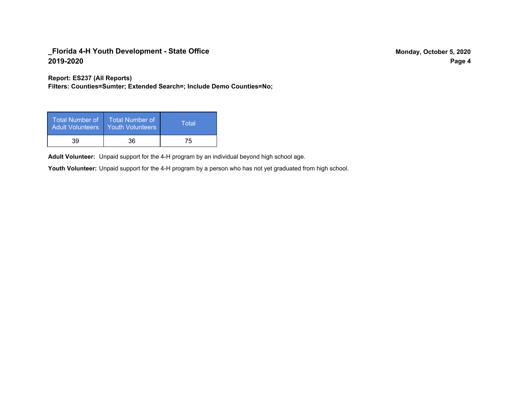**Report: ES237 (All Reports)**

**Filters: Counties=Sumter; Extended Search=; Include Demo Counties=No;**

| <b>Total Number of</b><br><b>Adult Volunteers</b> | <b>Total Number of</b><br><b>Youth Volunteers</b> | Total' |
|---------------------------------------------------|---------------------------------------------------|--------|
| 39                                                | 36                                                | 75     |

Adult Volunteer: Unpaid support for the 4-H program by an individual beyond high school age.

Youth Volunteer: Unpaid support for the 4-H program by a person who has not yet graduated from high school.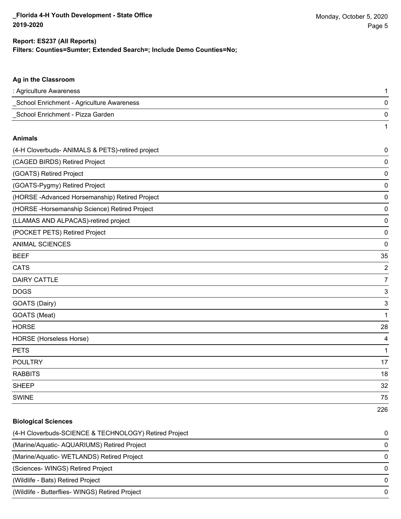226

#### **Filters: Counties=Sumter; Extended Search=; Include Demo Counties=No; Report: ES237 (All Reports)**

# **Ag in the Classroom** : Agriculture Awareness 1 \_School Enrichment - Agriculture Awareness 0 \_School Enrichment - Pizza Garden 0 1 **Animals** (4-H Cloverbuds- ANIMALS & PETS)-retired project 0 (CAGED BIRDS) Retired Project 0 (GOATS) Retired Project 0 (GOATS-Pygmy) Retired Project 0 (HORSE -Advanced Horsemanship) Retired Project 0 (HORSE -Horsemanship Science) Retired Project 0

(LLAMAS AND ALPACAS)-retired project 0

(POCKET PETS) Retired Project 0

ANIMAL SCIENCES 0

| <b>BEEF</b>             | 35             |
|-------------------------|----------------|
| <b>CATS</b>             | $\overline{c}$ |
| <b>DAIRY CATTLE</b>     | 7              |
| <b>DOGS</b>             | 3              |
| GOATS (Dairy)           | 3              |
| GOATS (Meat)            | 1              |
| <b>HORSE</b>            | 28             |
| HORSE (Horseless Horse) | 4              |
| <b>PETS</b>             | 1              |
| <b>POULTRY</b>          | 17             |
| <b>RABBITS</b>          | 18             |
| <b>SHEEP</b>            | 32             |
| <b>SWINE</b>            | 75             |

# **Biological Sciences** (4-H Cloverbuds-SCIENCE & TECHNOLOGY) Retired Project 0 (Marine/Aquatic- AQUARIUMS) Retired Project 0 (Marine/Aquatic- WETLANDS) Retired Project 0 (Sciences- WINGS) Retired Project 0 (Wildlife - Bats) Retired Project 0 (Wildlife - Butterflies- WINGS) Retired Project 0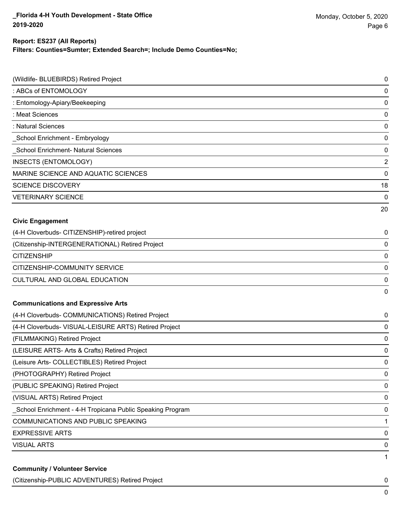## **Report: ES237 (All Reports)**

**Filters: Counties=Sumter; Extended Search=; Include Demo Counties=No;**

| (Wildlife- BLUEBIRDS) Retired Project                     | 0              |
|-----------------------------------------------------------|----------------|
| : ABCs of ENTOMOLOGY                                      | $\pmb{0}$      |
| : Entomology-Apiary/Beekeeping                            | 0              |
| : Meat Sciences                                           | 0              |
| : Natural Sciences                                        | 0              |
| School Enrichment - Embryology                            | $\pmb{0}$      |
| School Enrichment- Natural Sciences                       | 0              |
| INSECTS (ENTOMOLOGY)                                      | $\overline{2}$ |
| MARINE SCIENCE AND AQUATIC SCIENCES                       | $\mathbf 0$    |
| <b>SCIENCE DISCOVERY</b>                                  | 18             |
| <b>VETERINARY SCIENCE</b>                                 | 0              |
|                                                           | 20             |
| <b>Civic Engagement</b>                                   |                |
| (4-H Cloverbuds- CITIZENSHIP)-retired project             | 0              |
| (Citizenship-INTERGENERATIONAL) Retired Project           | $\pmb{0}$      |
| <b>CITIZENSHIP</b>                                        | $\pmb{0}$      |
| CITIZENSHIP-COMMUNITY SERVICE                             | 0              |
| CULTURAL AND GLOBAL EDUCATION                             | $\pmb{0}$      |
|                                                           | 0              |
| <b>Communications and Expressive Arts</b>                 |                |
| (4-H Cloverbuds- COMMUNICATIONS) Retired Project          | 0              |
| (4-H Cloverbuds- VISUAL-LEISURE ARTS) Retired Project     | $\pmb{0}$      |
| (FILMMAKING) Retired Project                              | 0              |
| (LEISURE ARTS- Arts & Crafts) Retired Project             | 0              |
| (Leisure Arts- COLLECTIBLES) Retired Project              | 0              |
| (PHOTOGRAPHY) Retired Project                             | $\pmb{0}$      |
| (PUBLIC SPEAKING) Retired Project                         | 0              |
| (VISUAL ARTS) Retired Project                             | 0              |
| School Enrichment - 4-H Tropicana Public Speaking Program | 0              |
| <b>COMMUNICATIONS AND PUBLIC SPEAKING</b>                 | 1              |
| <b>EXPRESSIVE ARTS</b>                                    | 0              |
| <b>VISUAL ARTS</b>                                        | 0              |
|                                                           | 1              |
| <b>Community / Volunteer Service</b>                      |                |

(Citizenship-PUBLIC ADVENTURES) Retired Project 0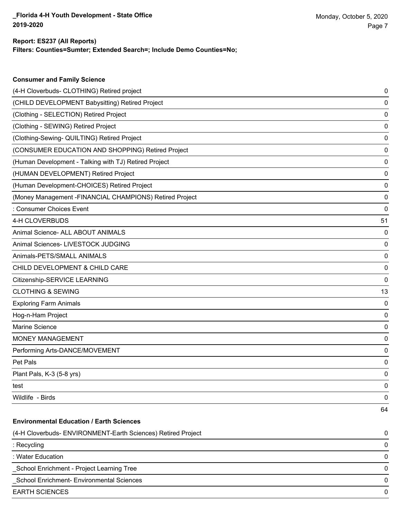**Consumer and Family Science**

## **Filters: Counties=Sumter; Extended Search=; Include Demo Counties=No; Report: ES237 (All Reports)**

| (4-H Cloverbuds- CLOTHING) Retired project                   | 0  |
|--------------------------------------------------------------|----|
| (CHILD DEVELOPMENT Babysitting) Retired Project              | 0  |
| (Clothing - SELECTION) Retired Project                       | 0  |
| (Clothing - SEWING) Retired Project                          | 0  |
| (Clothing-Sewing- QUILTING) Retired Project                  | 0  |
| (CONSUMER EDUCATION AND SHOPPING) Retired Project            | 0  |
| (Human Development - Talking with TJ) Retired Project        | 0  |
| (HUMAN DEVELOPMENT) Retired Project                          | 0  |
| (Human Development-CHOICES) Retired Project                  | 0  |
| (Money Management - FINANCIAL CHAMPIONS) Retired Project     | 0  |
| : Consumer Choices Event                                     | 0  |
| 4-H CLOVERBUDS                                               | 51 |
| Animal Science- ALL ABOUT ANIMALS                            | 0  |
| Animal Sciences- LIVESTOCK JUDGING                           | 0  |
| Animals-PETS/SMALL ANIMALS                                   | 0  |
| CHILD DEVELOPMENT & CHILD CARE                               | 0  |
| Citizenship-SERVICE LEARNING                                 | 0  |
| <b>CLOTHING &amp; SEWING</b>                                 | 13 |
| <b>Exploring Farm Animals</b>                                | 0  |
| Hog-n-Ham Project                                            | 0  |
| Marine Science                                               | 0  |
| <b>MONEY MANAGEMENT</b>                                      | 0  |
| Performing Arts-DANCE/MOVEMENT                               | 0  |
| Pet Pals                                                     | 0  |
| Plant Pals, K-3 (5-8 yrs)                                    | 0  |
| test                                                         | 0  |
| Wildlife - Birds                                             | 0  |
|                                                              | 64 |
| <b>Environmental Education / Earth Sciences</b>              |    |
| (4-H Cloverbuds- ENVIRONMENT-Earth Sciences) Retired Project | 0  |
| : Recycling                                                  | 0  |
| : Water Education                                            | 0  |
| School Enrichment - Project Learning Tree                    | 0  |
| School Enrichment- Environmental Sciences                    | 0  |
| <b>EARTH SCIENCES</b>                                        | 0  |
|                                                              |    |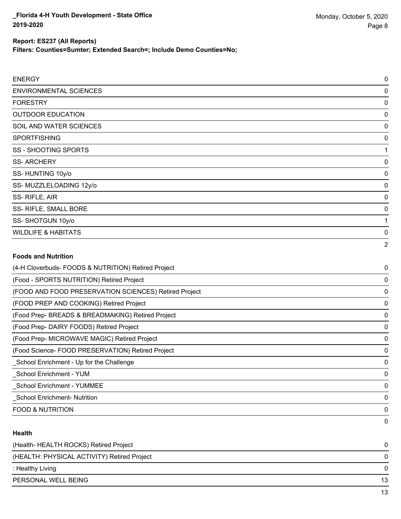**Filters: Counties=Sumter; Extended Search=; Include Demo Counties=No;**

| <b>ENERGY</b>                  | $\mathbf 0$    |
|--------------------------------|----------------|
| ENVIRONMENTAL SCIENCES         | 0              |
| <b>FORESTRY</b>                | 0              |
| <b>OUTDOOR EDUCATION</b>       | 0              |
| SOIL AND WATER SCIENCES        | 0              |
| <b>SPORTFISHING</b>            | 0              |
| SS - SHOOTING SPORTS           | 1              |
| <b>SS-ARCHERY</b>              | 0              |
| SS-HUNTING 10y/o               | 0              |
| SS-MUZZLELOADING 12y/o         | 0              |
| SS-RIFLE, AIR                  | $\pmb{0}$      |
| SS-RIFLE, SMALL BORE           | 0              |
| SS-SHOTGUN 10y/o               | 1              |
| <b>WILDLIFE &amp; HABITATS</b> | $\pmb{0}$      |
|                                | $\overline{2}$ |
|                                |                |

## **Foods and Nutrition**

| (4-H Cloverbuds- FOODS & NUTRITION) Retired Project   | 0 |
|-------------------------------------------------------|---|
| (Food - SPORTS NUTRITION) Retired Project             | 0 |
| (FOOD AND FOOD PRESERVATION SCIENCES) Retired Project | 0 |
| (FOOD PREP AND COOKING) Retired Project               | 0 |
| (Food Prep- BREADS & BREADMAKING) Retired Project     | 0 |
| (Food Prep- DAIRY FOODS) Retired Project              | 0 |
| (Food Prep- MICROWAVE MAGIC) Retired Project          | 0 |
| (Food Science- FOOD PRESERVATION) Retired Project     | 0 |
| School Enrichment - Up for the Challenge              | 0 |
| School Enrichment - YUM                               | 0 |
| School Enrichment - YUMMEE                            | 0 |
| <b>School Enrichment- Nutrition</b>                   | 0 |
| <b>FOOD &amp; NUTRITION</b>                           | 0 |
|                                                       | 0 |

## **Health**

| (Health- HEALTH ROCKS) Retired Project      | 0  |
|---------------------------------------------|----|
| (HEALTH: PHYSICAL ACTIVITY) Retired Project | 0  |
| : Healthy Living                            | 0  |
| PERSONAL WELL BEING                         | 13 |
|                                             | 13 |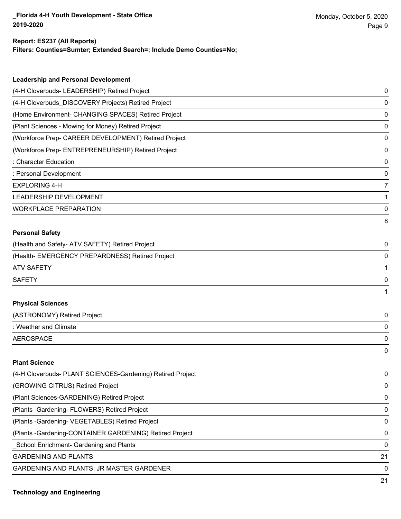#### **Report: ES237 (All Reports)**

**Filters: Counties=Sumter; Extended Search=; Include Demo Counties=No;**

| <b>Leadership and Personal Development</b>                 |             |
|------------------------------------------------------------|-------------|
| (4-H Cloverbuds- LEADERSHIP) Retired Project               | 0           |
| (4-H Cloverbuds_DISCOVERY Projects) Retired Project        | 0           |
| (Home Environment- CHANGING SPACES) Retired Project        | 0           |
| (Plant Sciences - Mowing for Money) Retired Project        | $\mathbf 0$ |
| (Workforce Prep- CAREER DEVELOPMENT) Retired Project       | 0           |
| (Workforce Prep- ENTREPRENEURSHIP) Retired Project         | 0           |
| <b>Character Education</b>                                 | 0           |
| : Personal Development                                     | 0           |
| <b>EXPLORING 4-H</b>                                       | 7           |
| LEADERSHIP DEVELOPMENT                                     | 1           |
| <b>WORKPLACE PREPARATION</b>                               | 0           |
|                                                            | 8           |
| <b>Personal Safety</b>                                     |             |
| (Health and Safety- ATV SAFETY) Retired Project            | 0           |
| (Health- EMERGENCY PREPARDNESS) Retired Project            | 0           |
| <b>ATV SAFETY</b>                                          | 1           |
| <b>SAFETY</b>                                              | 0           |
|                                                            | 1           |
| <b>Physical Sciences</b>                                   |             |
| (ASTRONOMY) Retired Project                                | 0           |
| : Weather and Climate                                      | 0           |
| <b>AEROSPACE</b>                                           | 0           |
|                                                            | 0           |
| <b>Plant Science</b>                                       |             |
| (4-H Cloverbuds- PLANT SCIENCES-Gardening) Retired Project | 0           |
| (GROWING CITRUS) Retired Project                           | 0           |

(Plant Sciences-GARDENING) Retired Project 0 (Plants -Gardening- FLOWERS) Retired Project 0

(Plants -Gardening- VEGETABLES) Retired Project 0

(Plants -Gardening-CONTAINER GARDENING) Retired Project 0

\_School Enrichment- Gardening and Plants 0

GARDENING AND PLANTS 21

GARDENING AND PLANTS: JR MASTER GARDENER 0